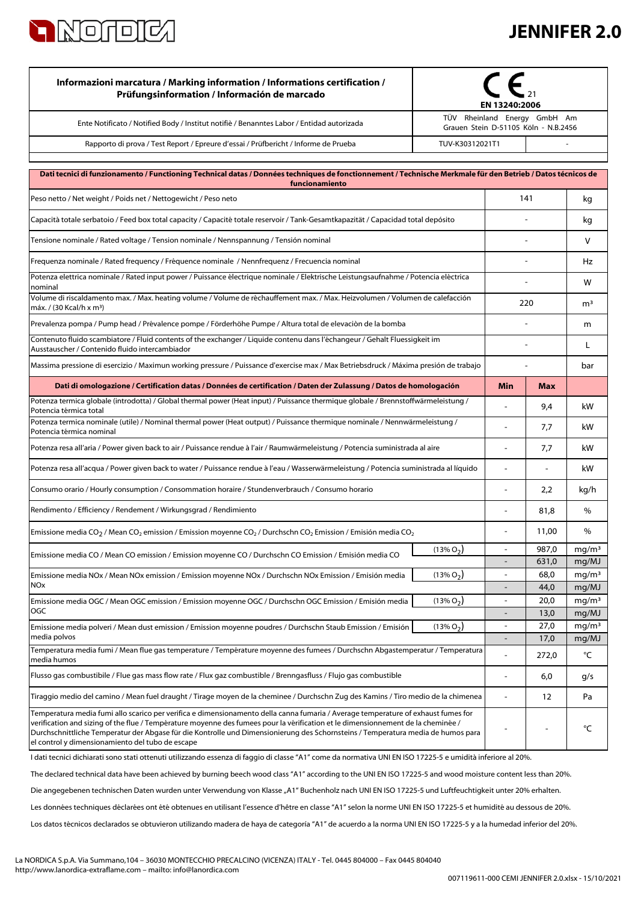

| Informazioni marcatura / Marking information / Informations certification /<br>Prüfungsinformation / Información de marcado                                                                                                                                                                                                                                                                                                                                   | EN 13240:2006 |                                                                      |                |                            |
|---------------------------------------------------------------------------------------------------------------------------------------------------------------------------------------------------------------------------------------------------------------------------------------------------------------------------------------------------------------------------------------------------------------------------------------------------------------|---------------|----------------------------------------------------------------------|----------------|----------------------------|
| Ente Notificato / Notified Body / Institut notifiè / Benanntes Labor / Entidad autorizada                                                                                                                                                                                                                                                                                                                                                                     |               | TÜV Rheinland Energy GmbH Am<br>Grauen Stein D-51105 Köln - N.B.2456 |                |                            |
| Rapporto di prova / Test Report / Epreure d'essai / Prüfbericht / Informe de Prueba                                                                                                                                                                                                                                                                                                                                                                           |               | TUV-K30312021T1                                                      |                |                            |
| Dati tecnici di funzionamento / Functioning Technical datas / Données techniques de fonctionnement / Technische Merkmale für den Betrieb / Datos técnicos de<br>funcionamiento                                                                                                                                                                                                                                                                                |               |                                                                      |                |                            |
| Peso netto / Net weight / Poids net / Nettogewicht / Peso neto                                                                                                                                                                                                                                                                                                                                                                                                |               | 141                                                                  |                | kg                         |
| Capacità totale serbatoio / Feed box total capacity / Capacité totale reservoir / Tank-Gesamtkapazität / Capacidad total depósito                                                                                                                                                                                                                                                                                                                             |               |                                                                      |                | kg                         |
| Tensione nominale / Rated voltage / Tension nominale / Nennspannung / Tensión nominal                                                                                                                                                                                                                                                                                                                                                                         |               |                                                                      |                | v                          |
| Frequenza nominale / Rated frequency / Fréquence nominale / Nennfrequenz / Frecuencia nominal                                                                                                                                                                                                                                                                                                                                                                 |               |                                                                      |                | Hz                         |
| Potenza elettrica nominale / Rated input power / Puissance électrique nominale / Elektrische Leistungsaufnahme / Potencia eléctrica<br>nominal                                                                                                                                                                                                                                                                                                                |               |                                                                      |                | w                          |
| Volume di riscaldamento max. / Max. heating volume / Volume de réchauffement max. / Max. Heizvolumen / Volumen de calefacción<br>máx. / (30 Kcal/h x m <sup>3</sup> )                                                                                                                                                                                                                                                                                         |               | 220                                                                  |                | m <sup>3</sup>             |
| Prevalenza pompa / Pump head / Prévalence pompe / Förderhöhe Pumpe / Altura total de elevaciòn de la bomba                                                                                                                                                                                                                                                                                                                                                    |               |                                                                      |                | m                          |
| Contenuto fluido scambiatore / Fluid contents of the exchanger / Liquide contenu dans l'échangeur / Gehalt Fluessigkeit im<br>Ausstauscher / Contenido fluido intercambiador                                                                                                                                                                                                                                                                                  |               |                                                                      |                | L                          |
| Massima pressione di esercizio / Maximun working pressure / Puissance d'exercise max / Max Betriebsdruck / Máxima presión de trabajo                                                                                                                                                                                                                                                                                                                          |               |                                                                      |                | bar                        |
| Dati di omologazione / Certification datas / Données de certification / Daten der Zulassung / Datos de homologación                                                                                                                                                                                                                                                                                                                                           |               | Min                                                                  | <b>Max</b>     |                            |
| Potenza termica globale (introdotta) / Global thermal power (Heat input) / Puissance thermique globale / Brennstoffwärmeleistung /<br>Potencia térmica total                                                                                                                                                                                                                                                                                                  |               | $\blacksquare$                                                       | 9,4            | kW                         |
| Potenza termica nominale (utile) / Nominal thermal power (Heat output) / Puissance thermique nominale / Nennwärmeleistung /<br>Potencia térmica nominal                                                                                                                                                                                                                                                                                                       |               |                                                                      | 7,7            | kW                         |
| Potenza resa all'aria / Power given back to air / Puissance rendue à l'air / Raumwärmeleistung / Potencia suministrada al aire                                                                                                                                                                                                                                                                                                                                |               |                                                                      | 7,7            | kW                         |
| Potenza resa all'acqua / Power given back to water / Puissance rendue à l'eau / Wasserwärmeleistung / Potencia suministrada al líquido                                                                                                                                                                                                                                                                                                                        |               |                                                                      |                | kW                         |
| Consumo orario / Hourly consumption / Consommation horaire / Stundenverbrauch / Consumo horario                                                                                                                                                                                                                                                                                                                                                               |               | $\blacksquare$                                                       | 2,2            | kg/h                       |
| Rendimento / Efficiency / Rendement / Wirkungsgrad / Rendimiento                                                                                                                                                                                                                                                                                                                                                                                              |               |                                                                      | 81,8           | %                          |
| Emissione media CO <sub>2</sub> / Mean CO <sub>2</sub> emission / Emission moyenne CO <sub>2</sub> / Durchschn CO <sub>2</sub> Emission / Emisión media CO <sub>2</sub>                                                                                                                                                                                                                                                                                       |               |                                                                      | 11,00          | $\%$                       |
| Emissione media CO / Mean CO emission / Emission moyenne CO / Durchschn CO Emission / Emisión media CO                                                                                                                                                                                                                                                                                                                                                        | $(13\% O_2)$  |                                                                      | 987,0<br>631,0 | $mg/m^3$<br>mg/MJ          |
| Emissione media NOx / Mean NOx emission / Emission moyenne NOx / Durchschn NOx Emission / Emisión media                                                                                                                                                                                                                                                                                                                                                       | $(13\% O2)$   | $\blacksquare$                                                       | 68,0           | mg/m <sup>3</sup>          |
| <b>NO<sub>x</sub></b><br>Emissione media OGC / Mean OGC emission / Emission moyenne OGC / Durchschn OGC Emission / Emisión media                                                                                                                                                                                                                                                                                                                              | $(13\% O2)$   | $\blacksquare$                                                       | 44,0<br>20,0   | mg/MJ<br>mg/m <sup>3</sup> |
| <b>OGC</b>                                                                                                                                                                                                                                                                                                                                                                                                                                                    |               | $\blacksquare$                                                       | 13,0           | mg/MJ                      |
| Emissione media polveri / Mean dust emission / Emission moyenne poudres / Durchschn Staub Emission / Emisión<br>media polvos                                                                                                                                                                                                                                                                                                                                  | $(13\% O2)$   | ä,                                                                   | 27,0<br>17,0   | mg/m <sup>3</sup><br>mg/MJ |
| Temperatura media fumi / Mean flue gas temperature / Température moyenne des fumees / Durchschn Abgastemperatur / Temperatura<br>media humos                                                                                                                                                                                                                                                                                                                  |               |                                                                      | 272,0          | °C                         |
| Flusso gas combustibile / Flue gas mass flow rate / Flux gaz combustible / Brenngasfluss / Flujo gas combustible                                                                                                                                                                                                                                                                                                                                              |               |                                                                      | 6,0            | g/s                        |
| Tiraggio medio del camino / Mean fuel draught / Tirage moyen de la cheminee / Durchschn Zug des Kamins / Tiro medio de la chimenea                                                                                                                                                                                                                                                                                                                            |               | $\overline{a}$                                                       | 12             | Pa                         |
| Temperatura media fumi allo scarico per verifica e dimensionamento della canna fumaria / Average temperature of exhaust fumes for<br>verification and sizing of the flue / Température moyenne des fumees pour la vérification et le dimensionnement de la cheminée /<br>Durchschnittliche Temperatur der Abgase für die Kontrolle und Dimensionierung des Schornsteins / Temperatura media de humos para<br>el control y dimensionamiento del tubo de escape |               |                                                                      |                | °C                         |
| I dati tecnici dichiarati sono stati ottenuti utilizzando essenza di faggio di classe "A1" come da normativa UNI EN ISO 17225-5 e umidità inferiore al 20%.                                                                                                                                                                                                                                                                                                   |               |                                                                      |                |                            |

The declared technical data have been achieved by burning beech wood class "A1" according to the UNI EN ISO 17225-5 and wood moisture content less than 20%.

Die angegebenen technischen Daten wurden unter Verwendung von Klasse "A1" Buchenholz nach UNI EN ISO 17225-5 und Luftfeuchtigkeit unter 20% erhalten.

Les données techniques déclarées ont été obtenues en utilisant l'essence d'hêtre en classe "A1" selon la norme UNI EN ISO 17225-5 et humidité au dessous de 20%.

Los datos técnicos declarados se obtuvieron utilizando madera de haya de categoría "A1" de acuerdo a la norma UNI EN ISO 17225-5 y a la humedad inferior del 20%.